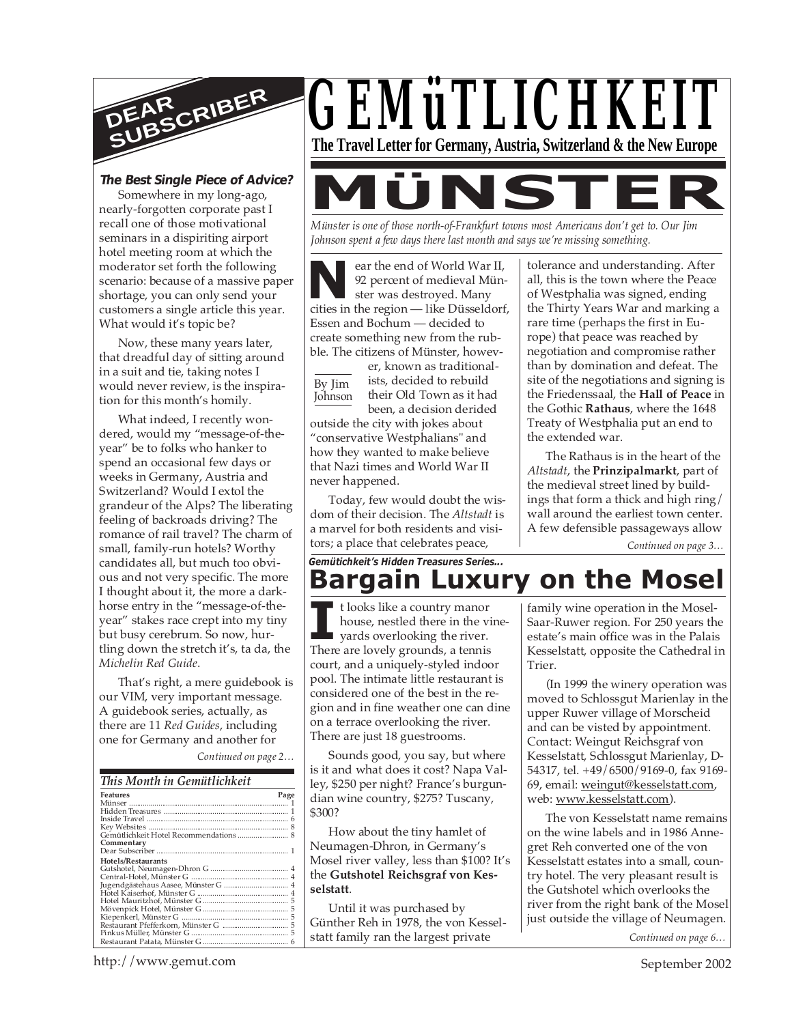

#### **The Best Single Piece of Advice?**

Somewhere in my long-ago, nearly-forgotten corporate past I recall one of those motivational seminars in a dispiriting airport hotel meeting room at which the moderator set forth the following scenario: because of a massive paper shortage, you can only send your customers a single article this year. What would it's topic be?

Now, these many years later, that dreadful day of sitting around in a suit and tie, taking notes I would never review, is the inspiration for this month's homily.

What indeed, I recently wondered, would my "message-of-theyear" be to folks who hanker to spend an occasional few days or weeks in Germany, Austria and Switzerland? Would I extol the grandeur of the Alps? The liberating feeling of backroads driving? The romance of rail travel? The charm of small, family-run hotels? Worthy candidates all, but much too obvious and not very specific. The more I thought about it, the more a darkhorse entry in the "message-of-theyear" stakes race crept into my tiny but busy cerebrum. So now, hurtling down the stretch it's, ta da, the *Michelin Red Guide*.

That's right, a mere guidebook is our VIM, very important message. A guidebook series, actually, as there are 11 *Red Guides*, including one for Germany and another for

*Continued on page 2…*

| This Month in Gemütlichkeit         |      |
|-------------------------------------|------|
| <b>Features</b>                     | Page |
|                                     |      |
|                                     |      |
|                                     |      |
|                                     |      |
| Commentary                          |      |
|                                     |      |
| Hotels/Restaurants                  |      |
|                                     |      |
|                                     |      |
| Jugendgästehaus Aasee, Münster G  4 |      |
|                                     |      |
|                                     |      |
|                                     |      |
|                                     |      |
|                                     |      |
|                                     |      |
|                                     |      |



*Münster is one of those north-of-Frankfurt towns most Americans don't get to. Our Jim Johnson spent a few days there last month and says we're missing something.*

**N**ear the end of World War II,<br>
92 percent of medieval Münster was destroyed. Many<br>
cities in the region — like Düsseldorf, ear the end of World War II, 92 percent of medieval Münster was destroyed. Many Essen and Bochum — decided to create something new from the rubble. The citizens of Münster, howev-

By Jim **Johnson** 

er, known as traditionalists, decided to rebuild their Old Town as it had been, a decision derided

outside the city with jokes about "conservative Westphalians" and how they wanted to make believe that Nazi times and World War II never happened.

Today, few would doubt the wisdom of their decision. The *Altstadt* is a marvel for both residents and visitors; a place that celebrates peace,

tolerance and understanding. After all, this is the town where the Peace of Westphalia was signed, ending the Thirty Years War and marking a rare time (perhaps the first in Europe) that peace was reached by negotiation and compromise rather than by domination and defeat. The site of the negotiations and signing is the Friedenssaal, the **Hall of Peace** in the Gothic **Rathaus**, where the 1648 Treaty of Westphalia put an end to the extended war.

The Rathaus is in the heart of the *Altstadt*, the **Prinzipalmarkt**, part of the medieval street lined by buildings that form a thick and high ring/ wall around the earliest town center. A few defensible passageways allow

*Continued on page 3…*

# **Bargain Luxury on the Mosel** *Gemütichkeit's Hidden Treasures Series...*

I<sup>I</sup> t looks like a country manor house, nestled there in the vigards overlooking the river.<br>There are lovely grounds, a tennis t looks like a country manor house, nestled there in the vineyards overlooking the river. court, and a uniquely-styled indoor pool. The intimate little restaurant is considered one of the best in the region and in fine weather one can dine on a terrace overlooking the river. There are just 18 guestrooms.

Sounds good, you say, but where is it and what does it cost? Napa Valley, \$250 per night? France's burgundian wine country, \$275? Tuscany, \$300?

How about the tiny hamlet of Neumagen-Dhron, in Germany's Mosel river valley, less than \$100? It's the **Gutshotel Reichsgraf von Kesselstatt**.

Until it was purchased by Günther Reh in 1978, the von Kesselstatt family ran the largest private

family wine operation in the Mosel-Saar-Ruwer region. For 250 years the estate's main office was in the Palais Kesselstatt, opposite the Cathedral in Trier.

(In 1999 the winery operation was moved to Schlossgut Marienlay in the upper Ruwer village of Morscheid and can be visted by appointment. Contact: Weingut Reichsgraf von Kesselstatt, Schlossgut Marienlay, D-54317, tel. +49/6500/9169-0, fax 9169- 69, email: weingut@kesselstatt.com, web: www.kesselstatt.com).

The von Kesselstatt name remains on the wine labels and in 1986 Annegret Reh converted one of the von Kesselstatt estates into a small, country hotel. The very pleasant result is the Gutshotel which overlooks the river from the right bank of the Mosel just outside the village of Neumagen.

*Continued on page 6…*

http://www.gemut.com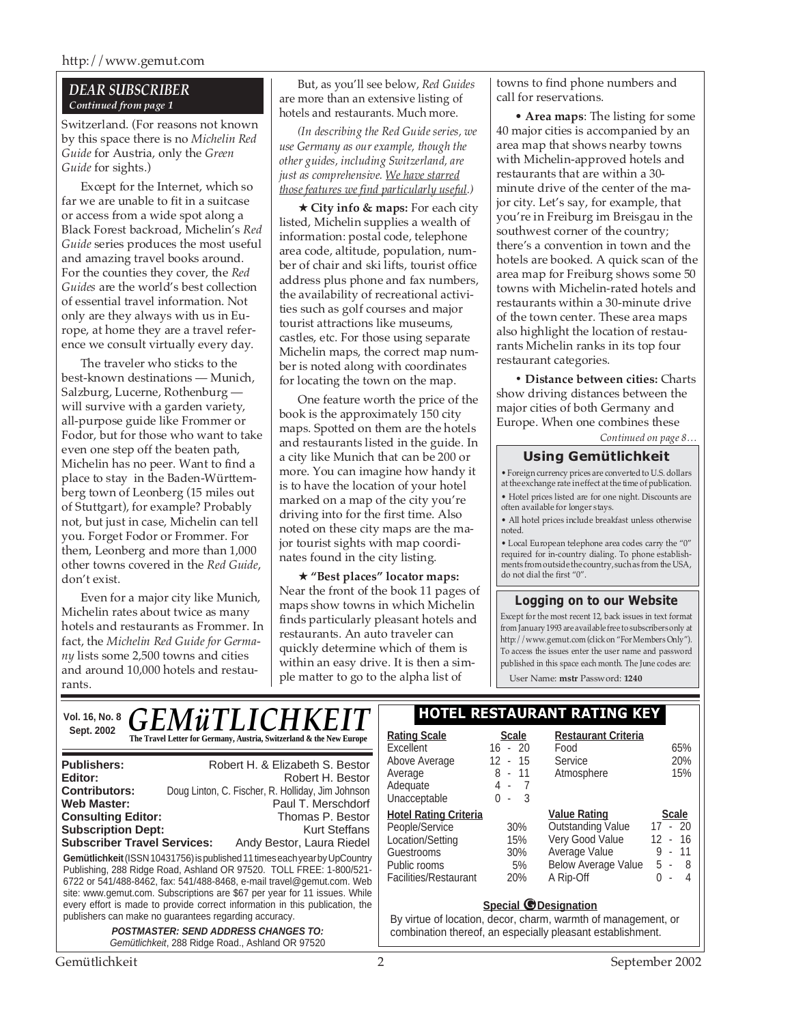### *DEAR SUBSCRIBER Continued from page 1*

Switzerland. (For reasons not known by this space there is no *Michelin Red Guide* for Austria, only the *Green Guide* for sights.)

Except for the Internet, which so far we are unable to fit in a suitcase or access from a wide spot along a Black Forest backroad, Michelin's *Red Guide* series produces the most useful and amazing travel books around. For the counties they cover, the *Red Guides* are the world's best collection of essential travel information. Not only are they always with us in Europe, at home they are a travel reference we consult virtually every day.

The traveler who sticks to the best-known destinations — Munich, Salzburg, Lucerne, Rothenburg will survive with a garden variety, all-purpose guide like Frommer or Fodor, but for those who want to take even one step off the beaten path, Michelin has no peer. Want to find a place to stay in the Baden-Württemberg town of Leonberg (15 miles out of Stuttgart), for example? Probably not, but just in case, Michelin can tell you. Forget Fodor or Frommer. For them, Leonberg and more than 1,000 other towns covered in the *Red Guide*, don't exist.

Even for a major city like Munich, Michelin rates about twice as many hotels and restaurants as Frommer. In fact, the *Michelin Red Guide for Germany* lists some 2,500 towns and cities and around 10,000 hotels and restaurants.

But, as you'll see below, *Red Guides* are more than an extensive listing of hotels and restaurants. Much more.

*(In describing the Red Guide series, we use Germany as our example, though the other guides, including Switzerland, are just as comprehensive. We have starred those features we find particularly useful.)*

★ **City info & maps:** For each city listed, Michelin supplies a wealth of information: postal code, telephone area code, altitude, population, number of chair and ski lifts, tourist office address plus phone and fax numbers, the availability of recreational activities such as golf courses and major tourist attractions like museums, castles, etc. For those using separate Michelin maps, the correct map number is noted along with coordinates for locating the town on the map.

One feature worth the price of the book is the approximately 150 city maps. Spotted on them are the hotels and restaurants listed in the guide. In a city like Munich that can be 200 or more. You can imagine how handy it is to have the location of your hotel marked on a map of the city you're driving into for the first time. Also noted on these city maps are the major tourist sights with map coordinates found in the city listing.

★ **"Best places" locator maps:** Near the front of the book 11 pages of maps show towns in which Michelin finds particularly pleasant hotels and restaurants. An auto traveler can quickly determine which of them is within an easy drive. It is then a simple matter to go to the alpha list of

towns to find phone numbers and call for reservations.

• **Area maps**: The listing for some 40 major cities is accompanied by an area map that shows nearby towns with Michelin-approved hotels and restaurants that are within a 30 minute drive of the center of the major city. Let's say, for example, that you're in Freiburg im Breisgau in the southwest corner of the country; there's a convention in town and the hotels are booked. A quick scan of the area map for Freiburg shows some 50 towns with Michelin-rated hotels and restaurants within a 30-minute drive of the town center. These area maps also highlight the location of restaurants Michelin ranks in its top four restaurant categories.

**• Distance between cities:** Charts show driving distances between the major cities of both Germany and Europe. When one combines these

*Continued on page 8…*

# **Using Gemütlichkeit**

• Foreign currency prices are converted to U.S. dollars at the exchange rate in effect at the time of publication. • Hotel prices listed are for one night. Discounts are often available for longer stays.

• All hotel prices include breakfast unless otherwise noted.

• Local European telephone area codes carry the "0" required for in-country dialing. To phone establishments from outside the country, such as from the USA, do not dial the first "0".

# **Logging on to our Website**

Except for the most recent 12, back issues in text format from January 1993 are available free to subscribers only at http://www.gemut.com (click on "For Members Only"). To access the issues enter the user name and password published in this space each month. The June codes are:

User Name: **mstr** Password: **1240**

|             | $\frac{N_{\text{col. 16, No. 8}}}{\text{Sent 2002}}$ $\overline{GEM\ddot{u}TLLICHKEIT}$ | I HOTEL RESTAURANT RATING KEY    |                           |                                    |
|-------------|-----------------------------------------------------------------------------------------|----------------------------------|---------------------------|------------------------------------|
| Sept. 2002  | The Travel Letter for Germany, Austria, Switzerland & the New Europe                    | <b>Rating Scale</b><br>Excellent | <b>Scale</b><br>$16 - 20$ | <b>Restaurant Criteria</b><br>Food |
| Dublichare: | Pobert H & Elizabeth & Rector                                                           | Above Average                    | 15<br>$12 -$              | Service                            |

| <b>Publishers:</b><br>Editor:                                                                                                                                                                                                                                                                                                                                                                                                                    | Robert H. & Elizabeth S. Bestor<br>Robert H. Bestor |  |  |  |  |
|--------------------------------------------------------------------------------------------------------------------------------------------------------------------------------------------------------------------------------------------------------------------------------------------------------------------------------------------------------------------------------------------------------------------------------------------------|-----------------------------------------------------|--|--|--|--|
| <b>Contributors:</b>                                                                                                                                                                                                                                                                                                                                                                                                                             | Doug Linton, C. Fischer, R. Holliday, Jim Johnson   |  |  |  |  |
| <b>Web Master:</b>                                                                                                                                                                                                                                                                                                                                                                                                                               | Paul T. Merschdorf                                  |  |  |  |  |
| <b>Consulting Editor:</b>                                                                                                                                                                                                                                                                                                                                                                                                                        | Thomas P. Bestor                                    |  |  |  |  |
| <b>Subscription Dept:</b>                                                                                                                                                                                                                                                                                                                                                                                                                        | Kurt Steffans                                       |  |  |  |  |
| <b>Subscriber Travel Services:</b>                                                                                                                                                                                                                                                                                                                                                                                                               | Andy Bestor, Laura Riedel                           |  |  |  |  |
| Gemütlichkeit (ISSN 10431756) is published 11 times each year by UpCountry<br>Publishing, 288 Ridge Road, Ashland OR 97520. TOLL FREE: 1-800/521-<br>6722 or 541/488-8462, fax: 541/488-8468, e-mail travel@gemut.com. Web<br>site: www.gemut.com. Subscriptions are \$67 per year for 11 issues. While<br>every effort is made to provide correct information in this publication, the<br>publishers can make no quarantees regarding accuracy. |                                                     |  |  |  |  |
|                                                                                                                                                                                                                                                                                                                                                                                                                                                  | BOOTHAOTED OFUD ADDDEDD OUAUGED TO                  |  |  |  |  |

**POSTMASTER: SEND ADDRESS CHANGES TO:** Gemütlichkeit, 288 Ridge Road., Ashland OR 97520

| Above Average                | 12 - 15   | Service                    | 20%                      |
|------------------------------|-----------|----------------------------|--------------------------|
| Average                      | 8 - 11    | Atmosphere                 | 15%                      |
| Adequate                     | 4 -       |                            |                          |
| Unacceptable                 | -3<br>ი - |                            |                          |
| <b>Hotel Rating Criteria</b> |           | <b>Value Rating</b>        | <b>Scale</b>             |
| People/Service               | 30%       | <b>Outstanding Value</b>   | $17 - 20$                |
| Location/Setting             | 15%       | Very Good Value            | - 16<br>12 <sup>12</sup> |
| Guestrooms                   | 30%       | Average Value              | 9 - 11                   |
| Public rooms                 | 5%        | <b>Below Average Value</b> | 8<br>5 -                 |
| Facilities/Restaurant        | 20%       | A Rip-Off                  | 4                        |
|                              |           |                            |                          |

#### **Special** *O* Designation

By virtue of location, decor, charm, warmth of management, or combination thereof, an especially pleasant establishment.

Food 65%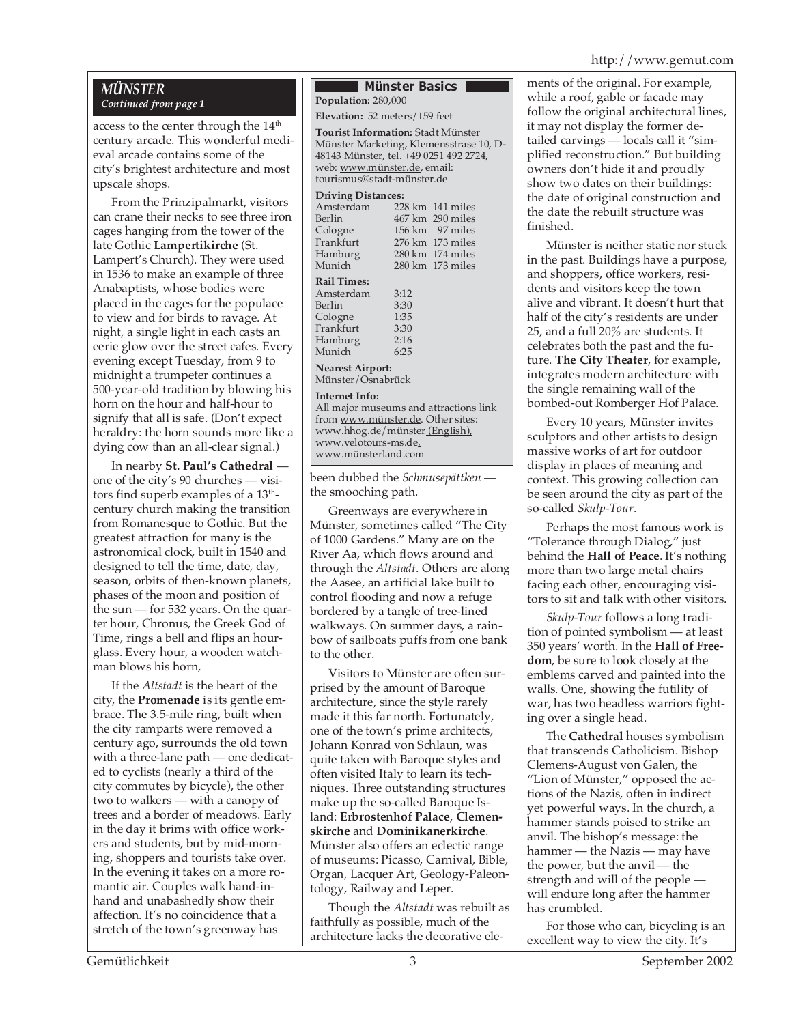# *MÜNSTER Continued from page 1*

access to the center through the 14<sup>th</sup> century arcade. This wonderful medieval arcade contains some of the city's brightest architecture and most upscale shops.

From the Prinzipalmarkt, visitors can crane their necks to see three iron cages hanging from the tower of the late Gothic **Lampertikirche** (St. Lampert's Church). They were used in 1536 to make an example of three Anabaptists, whose bodies were placed in the cages for the populace to view and for birds to ravage. At night, a single light in each casts an eerie glow over the street cafes. Every evening except Tuesday, from 9 to midnight a trumpeter continues a 500-year-old tradition by blowing his horn on the hour and half-hour to signify that all is safe. (Don't expect heraldry: the horn sounds more like a dying cow than an all-clear signal.)

In nearby **St. Paul's Cathedral**  one of the city's 90 churches — visitors find superb examples of a  $13<sup>th</sup>$ century church making the transition from Romanesque to Gothic. But the greatest attraction for many is the astronomical clock, built in 1540 and designed to tell the time, date, day, season, orbits of then-known planets, phases of the moon and position of the sun — for 532 years. On the quarter hour, Chronus, the Greek God of Time, rings a bell and flips an hourglass. Every hour, a wooden watchman blows his horn,

If the *Altstadt* is the heart of the city, the **Promenade** is its gentle embrace. The 3.5-mile ring, built when the city ramparts were removed a century ago, surrounds the old town with a three-lane path — one dedicated to cyclists (nearly a third of the city commutes by bicycle), the other two to walkers — with a canopy of trees and a border of meadows. Early in the day it brims with office workers and students, but by mid-morning, shoppers and tourists take over. In the evening it takes on a more romantic air. Couples walk hand-inhand and unabashedly show their affection. It's no coincidence that a stretch of the town's greenway has

#### **Münster Basics Population:** 280,000

**Elevation:** 52 meters/159 feet

**Tourist Information:** Stadt Münster Münster Marketing, Klemensstrase 10, D-48143 Münster, tel. +49 0251 492 2724, web: www.münster.de, email: tourismus@stadt-münster.de

#### **Driving Distances:**

|                         | 228 km 141 miles |  |  |  |  |
|-------------------------|------------------|--|--|--|--|
|                         | 467 km 290 miles |  |  |  |  |
|                         | 156 km 97 miles  |  |  |  |  |
|                         | 276 km 173 miles |  |  |  |  |
|                         | 280 km 174 miles |  |  |  |  |
|                         | 280 km 173 miles |  |  |  |  |
|                         |                  |  |  |  |  |
| 3:12                    |                  |  |  |  |  |
| 3:30                    |                  |  |  |  |  |
| 1:35                    |                  |  |  |  |  |
|                         |                  |  |  |  |  |
| 2:16                    |                  |  |  |  |  |
| 6:25                    |                  |  |  |  |  |
| <b>Nearest Airport:</b> |                  |  |  |  |  |
|                         | 3:30             |  |  |  |  |

Münster/Osnabrück

#### **Internet Info:**

All major museums and attractions link from www.münster.de. Other sites: www.hhog.de/münster (English), www.velotours-ms.de, www.münsterland.com

been dubbed the *Schmusepättken*  the smooching path.

Greenways are everywhere in Münster, sometimes called "The City of 1000 Gardens." Many are on the River Aa, which flows around and through the *Altstadt*. Others are along the Aasee, an artificial lake built to control flooding and now a refuge bordered by a tangle of tree-lined walkways. On summer days, a rainbow of sailboats puffs from one bank to the other.

Visitors to Münster are often surprised by the amount of Baroque architecture, since the style rarely made it this far north. Fortunately, one of the town's prime architects, Johann Konrad von Schlaun, was quite taken with Baroque styles and often visited Italy to learn its techniques. Three outstanding structures make up the so-called Baroque Island: **Erbrostenhof Palace**, **Clemenskirche** and **Dominikanerkirche**. Münster also offers an eclectic range of museums: Picasso, Carnival, Bible, Organ, Lacquer Art, Geology-Paleontology, Railway and Leper.

Though the *Altstadt* was rebuilt as faithfully as possible, much of the architecture lacks the decorative elements of the original. For example, while a roof, gable or facade may follow the original architectural lines, it may not display the former detailed carvings — locals call it "simplified reconstruction." But building owners don't hide it and proudly show two dates on their buildings: the date of original construction and the date the rebuilt structure was finished.

Münster is neither static nor stuck in the past. Buildings have a purpose, and shoppers, office workers, residents and visitors keep the town alive and vibrant. It doesn't hurt that half of the city's residents are under 25, and a full 20% are students. It celebrates both the past and the future. **The City Theater**, for example, integrates modern architecture with the single remaining wall of the bombed-out Romberger Hof Palace.

Every 10 years, Münster invites sculptors and other artists to design massive works of art for outdoor display in places of meaning and context. This growing collection can be seen around the city as part of the so-called *Skulp-Tour*.

Perhaps the most famous work is "Tolerance through Dialog," just behind the **Hall of Peace**. It's nothing more than two large metal chairs facing each other, encouraging visitors to sit and talk with other visitors.

*Skulp-Tour* follows a long tradition of pointed symbolism — at least 350 years' worth. In the **Hall of Freedom**, be sure to look closely at the emblems carved and painted into the walls. One, showing the futility of war, has two headless warriors fighting over a single head.

The **Cathedral** houses symbolism that transcends Catholicism. Bishop Clemens-August von Galen, the "Lion of Münster," opposed the actions of the Nazis, often in indirect yet powerful ways. In the church, a hammer stands poised to strike an anvil. The bishop's message: the hammer — the Nazis — may have the power, but the anvil — the strength and will of the people will endure long after the hammer has crumbled.

For those who can, bicycling is an excellent way to view the city. It's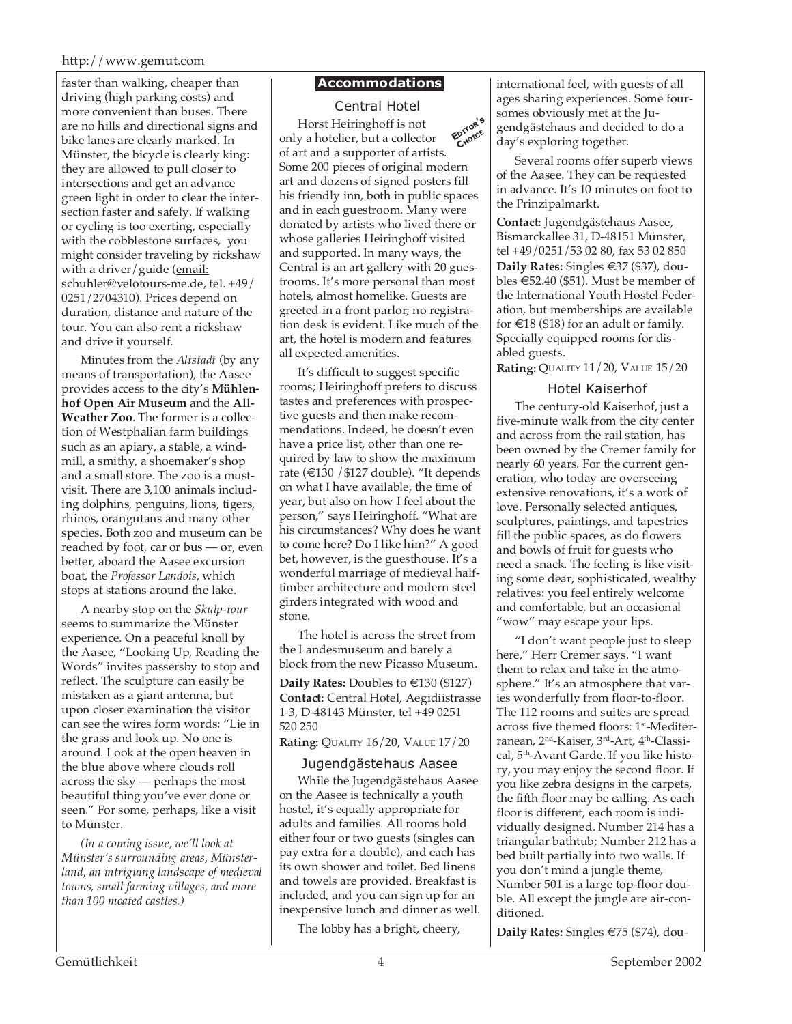faster than walking, cheaper than driving (high parking costs) and more convenient than buses. There are no hills and directional signs and bike lanes are clearly marked. In Münster, the bicycle is clearly king: they are allowed to pull closer to intersections and get an advance green light in order to clear the intersection faster and safely. If walking or cycling is too exerting, especially with the cobblestone surfaces, you might consider traveling by rickshaw with a driver/guide (email: schuhler@velotours-me.de, tel. +49/ 0251/2704310). Prices depend on duration, distance and nature of the tour. You can also rent a rickshaw and drive it yourself.

Minutes from the *Altstadt* (by any means of transportation), the Aasee provides access to the city's **Mühlenhof Open Air Museum** and the **All-Weather Zoo**. The former is a collection of Westphalian farm buildings such as an apiary, a stable, a windmill, a smithy, a shoemaker's shop and a small store. The zoo is a mustvisit. There are 3,100 animals including dolphins, penguins, lions, tigers, rhinos, orangutans and many other species. Both zoo and museum can be reached by foot, car or bus — or, even better, aboard the Aasee excursion boat, the *Professor Landois*, which stops at stations around the lake.

A nearby stop on the *Skulp-tour* seems to summarize the Münster experience. On a peaceful knoll by the Aasee, "Looking Up, Reading the Words" invites passersby to stop and reflect. The sculpture can easily be mistaken as a giant antenna, but upon closer examination the visitor can see the wires form words: "Lie in the grass and look up. No one is around. Look at the open heaven in the blue above where clouds roll across the sky — perhaps the most beautiful thing you've ever done or seen." For some, perhaps, like a visit to Münster.

*(In a coming issue, we'll look at Münster's surrounding areas, Münsterland, an intriguing landscape of medieval towns, small farming villages, and more than 100 moated castles.)*

# **Accommodations**

**EDITOR'<sup>S</sup> CHOICE** Central Hotel Horst Heiringhoff is not only a hotelier, but a collector of art and a supporter of artists. Some 200 pieces of original modern art and dozens of signed posters fill his friendly inn, both in public spaces and in each guestroom. Many were donated by artists who lived there or whose galleries Heiringhoff visited and supported. In many ways, the Central is an art gallery with 20 guestrooms. It's more personal than most hotels, almost homelike. Guests are greeted in a front parlor; no registration desk is evident. Like much of the art, the hotel is modern and features all expected amenities.

It's difficult to suggest specific rooms; Heiringhoff prefers to discuss tastes and preferences with prospective guests and then make recommendations. Indeed, he doesn't even have a price list, other than one required by law to show the maximum rate (€130 /\$127 double). "It depends on what I have available, the time of year, but also on how I feel about the person," says Heiringhoff. "What are his circumstances? Why does he want to come here? Do I like him?" A good bet, however, is the guesthouse. It's a wonderful marriage of medieval halftimber architecture and modern steel girders integrated with wood and stone.

The hotel is across the street from the Landesmuseum and barely a block from the new Picasso Museum.

**Daily Rates:** Doubles to €130 (\$127) **Contact:** Central Hotel, Aegidiistrasse 1-3, D-48143 Münster, tel +49 0251 520 250

**Rating:** QUALITY 16/20, VALUE 17/20

# Jugendgästehaus Aasee

While the Jugendgästehaus Aasee on the Aasee is technically a youth hostel, it's equally appropriate for adults and families. All rooms hold either four or two guests (singles can pay extra for a double), and each has its own shower and toilet. Bed linens and towels are provided. Breakfast is included, and you can sign up for an inexpensive lunch and dinner as well.

The lobby has a bright, cheery,

international feel, with guests of all ages sharing experiences. Some foursomes obviously met at the Jugendgästehaus and decided to do a day's exploring together.

Several rooms offer superb views of the Aasee. They can be requested in advance. It's 10 minutes on foot to the Prinzipalmarkt.

**Contact:** Jugendgästehaus Aasee, Bismarckallee 31, D-48151 Münster, tel +49/0251/53 02 80, fax 53 02 850 **Daily Rates:** Singles €37 (\$37), doubles €52.40 (\$51). Must be member of the International Youth Hostel Federation, but memberships are available for  $\in$ 18 (\$18) for an adult or family. Specially equipped rooms for disabled guests.

**Rating:** QUALITY 11/20, VALUE 15/20

# Hotel Kaiserhof

The century-old Kaiserhof, just a five-minute walk from the city center and across from the rail station, has been owned by the Cremer family for nearly 60 years. For the current generation, who today are overseeing extensive renovations, it's a work of love. Personally selected antiques, sculptures, paintings, and tapestries fill the public spaces, as do flowers and bowls of fruit for guests who need a snack. The feeling is like visiting some dear, sophisticated, wealthy relatives: you feel entirely welcome and comfortable, but an occasional "wow" may escape your lips.

"I don't want people just to sleep here," Herr Cremer says. "I want them to relax and take in the atmosphere." It's an atmosphere that varies wonderfully from floor-to-floor. The 112 rooms and suites are spread across five themed floors: 1<sup>st</sup>-Mediterranean, 2<sup>nd</sup>-Kaiser, 3<sup>rd</sup>-Art, 4<sup>th</sup>-Classical, 5<sup>th</sup>-Avant Garde. If you like history, you may enjoy the second floor. If you like zebra designs in the carpets, the fifth floor may be calling. As each floor is different, each room is individually designed. Number 214 has a triangular bathtub; Number 212 has a bed built partially into two walls. If you don't mind a jungle theme, Number 501 is a large top-floor double. All except the jungle are air-conditioned.

**Daily Rates:** Singles €75 (\$74), dou-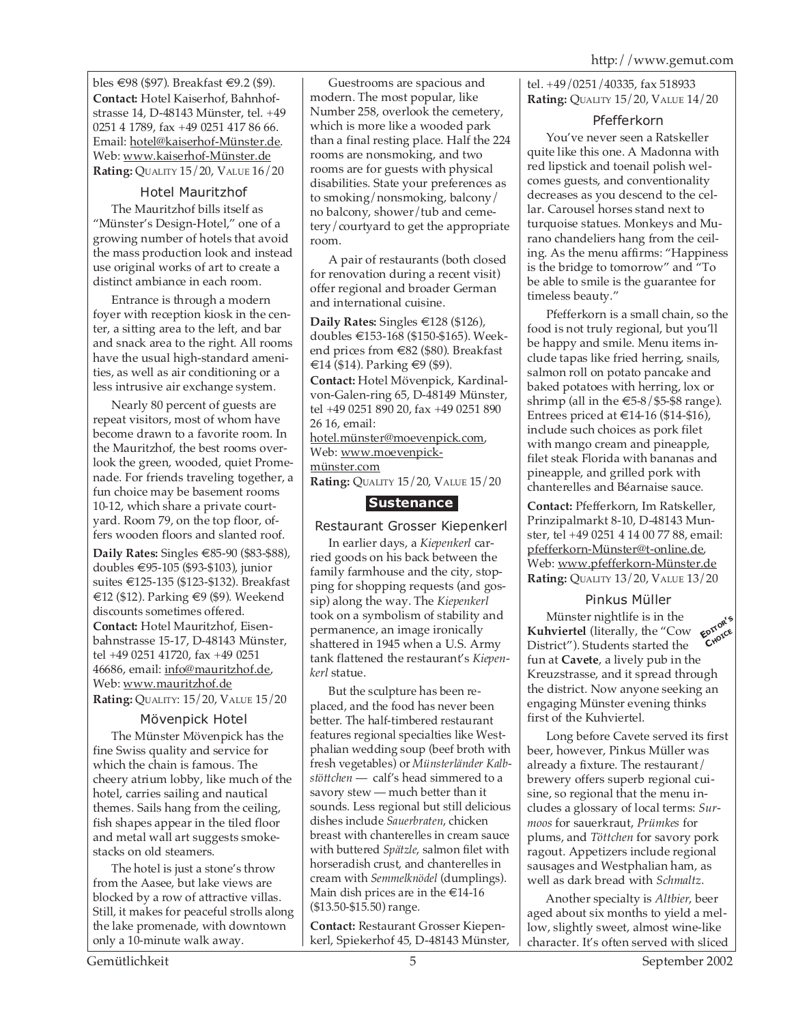bles €98 (\$97). Breakfast €9.2 (\$9). **Contact:** Hotel Kaiserhof, Bahnhofstrasse 14, D-48143 Münster, tel. +49 0251 4 1789, fax +49 0251 417 86 66. Email: hotel@kaiserhof-Münster.de. Web: www.kaiserhof-Münster.de **Rating:** QUALITY 15/20, VALUE 16/20

# Hotel Mauritzhof

The Mauritzhof bills itself as "Münster's Design-Hotel," one of a growing number of hotels that avoid the mass production look and instead use original works of art to create a distinct ambiance in each room.

Entrance is through a modern foyer with reception kiosk in the center, a sitting area to the left, and bar and snack area to the right. All rooms have the usual high-standard amenities, as well as air conditioning or a less intrusive air exchange system.

Nearly 80 percent of guests are repeat visitors, most of whom have become drawn to a favorite room. In the Mauritzhof, the best rooms overlook the green, wooded, quiet Promenade. For friends traveling together, a fun choice may be basement rooms 10-12, which share a private courtyard. Room 79, on the top floor, offers wooden floors and slanted roof.

**Daily Rates:** Singles €85-90 (\$83-\$88), doubles €95-105 (\$93-\$103), junior suites €125-135 (\$123-\$132). Breakfast €12 (\$12). Parking €9 (\$9). Weekend discounts sometimes offered.

**Contact:** Hotel Mauritzhof, Eisenbahnstrasse 15-17, D-48143 Münster, tel +49 0251 41720, fax +49 0251 46686, email: info@mauritzhof.de, Web: www.mauritzhof.de **Rating:** QUALITY: 15/20, VALUE 15/20

# Mövenpick Hotel

The Münster Mövenpick has the fine Swiss quality and service for which the chain is famous. The cheery atrium lobby, like much of the hotel, carries sailing and nautical themes. Sails hang from the ceiling, fish shapes appear in the tiled floor and metal wall art suggests smokestacks on old steamers.

The hotel is just a stone's throw from the Aasee, but lake views are blocked by a row of attractive villas. Still, it makes for peaceful strolls along the lake promenade, with downtown only a 10-minute walk away.

Guestrooms are spacious and modern. The most popular, like Number 258, overlook the cemetery, which is more like a wooded park than a final resting place. Half the 224 rooms are nonsmoking, and two rooms are for guests with physical disabilities. State your preferences as to smoking/nonsmoking, balcony/ no balcony, shower/tub and cemetery/courtyard to get the appropriate room.

A pair of restaurants (both closed for renovation during a recent visit) offer regional and broader German and international cuisine.

**Daily Rates:** Singles €128 (\$126), doubles €153-168 (\$150-\$165). Weekend prices from €82 (\$80). Breakfast €14 (\$14). Parking €9 (\$9). **Contact:** Hotel Mövenpick, Kardinalvon-Galen-ring 65, D-48149 Münster, tel +49 0251 890 20, fax +49 0251 890 26 16, email: hotel.münster@moevenpick.com,

Web: www.moevenpickmünster.com

# **Rating:** QUALITY 15/20, VALUE 15/20

# **Sustenance**

Restaurant Grosser Kiepenkerl

In earlier days, a *Kiepenkerl* carried goods on his back between the family farmhouse and the city, stopping for shopping requests (and gossip) along the way. The *Kiepenkerl* took on a symbolism of stability and permanence, an image ironically shattered in 1945 when a U.S. Army tank flattened the restaurant's *Kiepenkerl* statue.

But the sculpture has been replaced, and the food has never been better. The half-timbered restaurant features regional specialties like Westphalian wedding soup (beef broth with fresh vegetables) or *Münsterländer Kalbstöttchen* — calf's head simmered to a savory stew — much better than it sounds. Less regional but still delicious dishes include *Sauerbraten*, chicken breast with chanterelles in cream sauce with buttered *Spätzle*, salmon filet with horseradish crust, and chanterelles in cream with *Semmelknödel* (dumplings). Main dish prices are in the  $\text{\large\ensuremath{\in}} 14$ -16 (\$13.50-\$15.50) range.

**Contact:** Restaurant Grosser Kiepenkerl, Spiekerhof 45, D-48143 Münster, tel. +49/0251/40335, fax 518933 **Rating:** QUALITY 15/20, VALUE 14/20

#### Pfefferkorn

You've never seen a Ratskeller quite like this one. A Madonna with red lipstick and toenail polish welcomes guests, and conventionality decreases as you descend to the cellar. Carousel horses stand next to turquoise statues. Monkeys and Murano chandeliers hang from the ceiling. As the menu affirms: "Happiness is the bridge to tomorrow" and "To be able to smile is the guarantee for timeless beauty."

Pfefferkorn is a small chain, so the food is not truly regional, but you'll be happy and smile. Menu items include tapas like fried herring, snails, salmon roll on potato pancake and baked potatoes with herring, lox or shrimp (all in the  $\epsilon$ 5-8/\$5-\$8 range). Entrees priced at  $\text{\textsterling}14$ -16 (\$14-\$16), include such choices as pork filet with mango cream and pineapple, filet steak Florida with bananas and pineapple, and grilled pork with chanterelles and Béarnaise sauce.

**Contact:** Pfefferkorn, Im Ratskeller, Prinzipalmarkt 8-10, D-48143 Munster, tel +49 0251 4 14 00 77 88, email: pfefferkorn-Münster@t-online.de, Web: www.pfefferkorn-Münster.de **Rating:** QUALITY 13/20, VALUE 13/20

#### Pinkus Müller

Münster nightlife is in the **Kuhviertel** (literally, the "Cow  $\epsilon^{optock}_{\text{code}}$ <br>District") Students started the Cr<sup>oxe</sup> District"). Students started the fun at **Cavete**, a lively pub in the Kreuzstrasse, and it spread through the district. Now anyone seeking an engaging Münster evening thinks first of the Kuhviertel.

Long before Cavete served its first beer, however, Pinkus Müller was already a fixture. The restaurant/ brewery offers superb regional cuisine, so regional that the menu includes a glossary of local terms: *Surmoos* for sauerkraut, *Prümkes* for plums, and *Töttchen* for savory pork ragout. Appetizers include regional sausages and Westphalian ham, as well as dark bread with *Schmaltz*.

Another specialty is *Altbier*, beer aged about six months to yield a mellow, slightly sweet, almost wine-like character. It's often served with sliced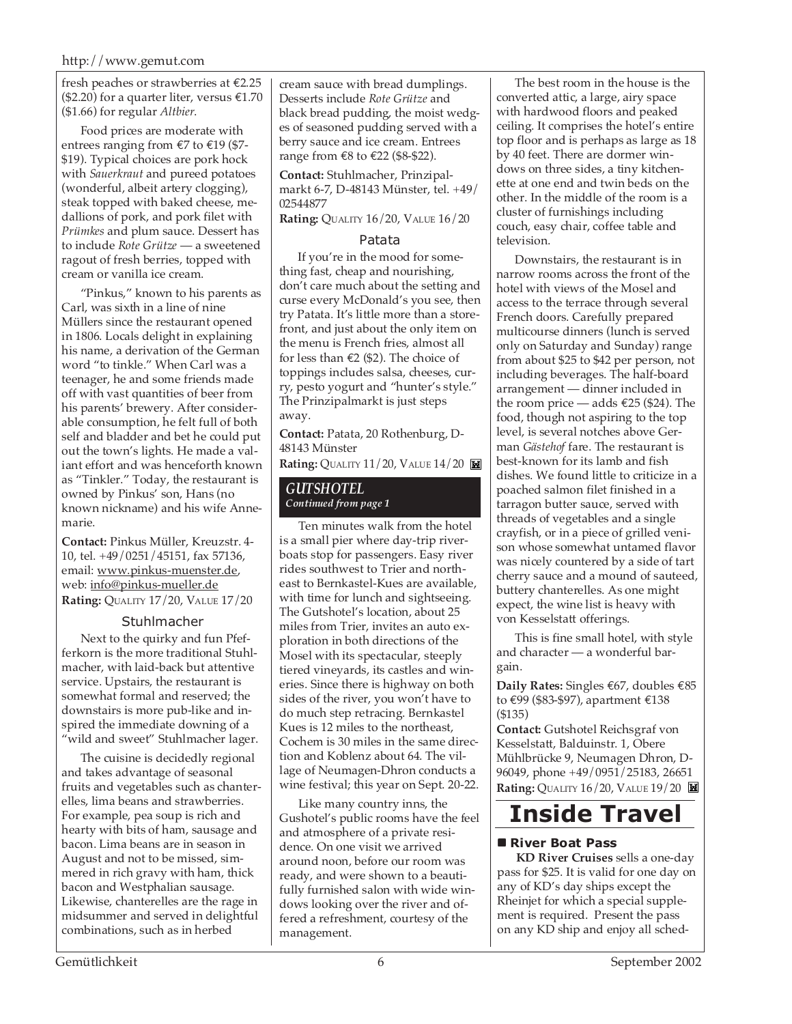fresh peaches or strawberries at €2.25 (\$2.20) for a quarter liter, versus  $£1.70$ (\$1.66) for regular *Altbier*.

Food prices are moderate with entrees ranging from €7 to €19 (\$7- \$19). Typical choices are pork hock with *Sauerkraut* and pureed potatoes (wonderful, albeit artery clogging), steak topped with baked cheese, medallions of pork, and pork filet with *Prümkes* and plum sauce. Dessert has to include *Rote Grütze* — a sweetened ragout of fresh berries, topped with cream or vanilla ice cream.

"Pinkus," known to his parents as Carl, was sixth in a line of nine Müllers since the restaurant opened in 1806. Locals delight in explaining his name, a derivation of the German word "to tinkle." When Carl was a teenager, he and some friends made off with vast quantities of beer from his parents' brewery. After considerable consumption, he felt full of both self and bladder and bet he could put out the town's lights. He made a valiant effort and was henceforth known as "Tinkler." Today, the restaurant is owned by Pinkus' son, Hans (no known nickname) and his wife Annemarie.

**Contact:** Pinkus Müller, Kreuzstr. 4- 10, tel. +49/0251/45151, fax 57136, email: www.pinkus-muenster.de, web: info@pinkus-mueller.de **Rating:** QUALITY 17/20, VALUE 17/20

#### **Stuhlmacher**

Next to the quirky and fun Pfefferkorn is the more traditional Stuhlmacher, with laid-back but attentive service. Upstairs, the restaurant is somewhat formal and reserved; the downstairs is more pub-like and inspired the immediate downing of a "wild and sweet" Stuhlmacher lager.

The cuisine is decidedly regional and takes advantage of seasonal fruits and vegetables such as chanterelles, lima beans and strawberries. For example, pea soup is rich and hearty with bits of ham, sausage and bacon. Lima beans are in season in August and not to be missed, simmered in rich gravy with ham, thick bacon and Westphalian sausage. Likewise, chanterelles are the rage in midsummer and served in delightful combinations, such as in herbed

cream sauce with bread dumplings. Desserts include *Rote Grütze* and black bread pudding, the moist wedges of seasoned pudding served with a berry sauce and ice cream. Entrees range from €8 to €22 (\$8-\$22).

**Contact:** Stuhlmacher, Prinzipalmarkt 6-7, D-48143 Münster, tel. +49/ 02544877

**Rating:** QUALITY 16/20, VALUE 16/20

#### Patata

If you're in the mood for something fast, cheap and nourishing, don't care much about the setting and curse every McDonald's you see, then try Patata. It's little more than a storefront, and just about the only item on the menu is French fries, almost all for less than  $\epsilon$ 2 (\$2). The choice of toppings includes salsa, cheeses, curry, pesto yogurt and "hunter's style." The Prinzipalmarkt is just steps away.

**Contact:** Patata, 20 Rothenburg, D-48143 Münster

**Rating:** QUALITY 11/20, VALUE 14/20

#### *GUTSHOTEL Continued from page 1*

Ten minutes walk from the hotel is a small pier where day-trip riverboats stop for passengers. Easy river rides southwest to Trier and northeast to Bernkastel-Kues are available, with time for lunch and sightseeing. The Gutshotel's location, about 25 miles from Trier, invites an auto exploration in both directions of the Mosel with its spectacular, steeply tiered vineyards, its castles and wineries. Since there is highway on both sides of the river, you won't have to do much step retracing. Bernkastel Kues is 12 miles to the northeast, Cochem is 30 miles in the same direction and Koblenz about 64. The village of Neumagen-Dhron conducts a wine festival; this year on Sept. 20-22.

Like many country inns, the Gushotel's public rooms have the feel and atmosphere of a private residence. On one visit we arrived around noon, before our room was ready, and were shown to a beautifully furnished salon with wide windows looking over the river and offered a refreshment, courtesy of the management.

The best room in the house is the converted attic, a large, airy space with hardwood floors and peaked ceiling. It comprises the hotel's entire top floor and is perhaps as large as 18 by 40 feet. There are dormer windows on three sides, a tiny kitchenette at one end and twin beds on the other. In the middle of the room is a cluster of furnishings including couch, easy chair, coffee table and television.

Downstairs, the restaurant is in narrow rooms across the front of the hotel with views of the Mosel and access to the terrace through several French doors. Carefully prepared multicourse dinners (lunch is served only on Saturday and Sunday) range from about \$25 to \$42 per person, not including beverages. The half-board arrangement — dinner included in the room price — adds  $\epsilon$ 25 (\$24). The food, though not aspiring to the top level, is several notches above German *Gästehof* fare. The restaurant is best-known for its lamb and fish dishes. We found little to criticize in a poached salmon filet finished in a tarragon butter sauce, served with threads of vegetables and a single crayfish, or in a piece of grilled venison whose somewhat untamed flavor was nicely countered by a side of tart cherry sauce and a mound of sauteed, buttery chanterelles. As one might expect, the wine list is heavy with von Kesselstatt offerings.

This is fine small hotel, with style and character — a wonderful bargain.

**Daily Rates:** Singles €67, doubles €85 to €99 (\$83-\$97), apartment €138 (\$135)

**Contact:** Gutshotel Reichsgraf von Kesselstatt, Balduinstr. 1, Obere Mühlbrücke 9, Neumagen Dhron, D-96049, phone +49/0951/25183, 26651 **Rating:** QUALITY 16/20, VALUE 19/20

# **Inside Travel**

#### **River Boat Pass**

**KD River Cruises** sells a one-day pass for \$25. It is valid for one day on any of KD's day ships except the Rheinjet for which a special supplement is required. Present the pass on any KD ship and enjoy all sched-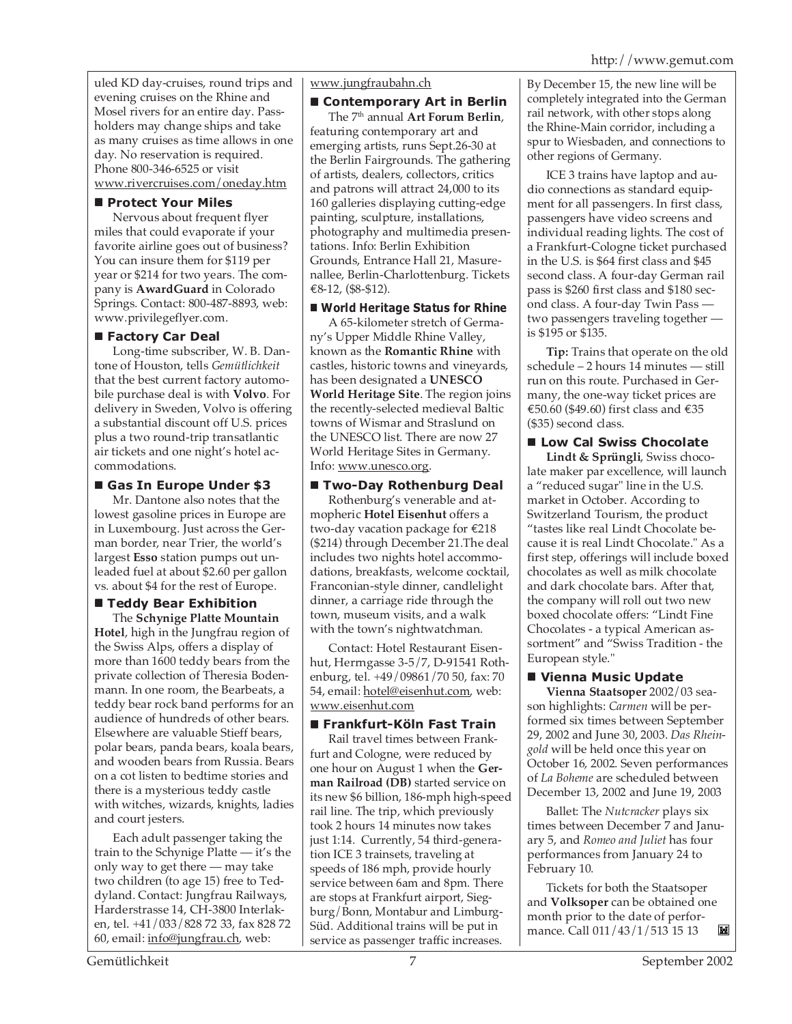uled KD day-cruises, round trips and evening cruises on the Rhine and Mosel rivers for an entire day. Passholders may change ships and take as many cruises as time allows in one day. No reservation is required. Phone 800-346-6525 or visit www.rivercruises.com/oneday.htm

# **Protect Your Miles**

Nervous about frequent flyer miles that could evaporate if your favorite airline goes out of business? You can insure them for \$119 per year or \$214 for two years. The company is **AwardGuard** in Colorado Springs. Contact: 800-487-8893, web: www.privilegeflyer.com.

# **Factory Car Deal**

Long-time subscriber, W. B. Dantone of Houston, tells *Gemütlichkeit* that the best current factory automobile purchase deal is with **Volvo**. For delivery in Sweden, Volvo is offering a substantial discount off U.S. prices plus a two round-trip transatlantic air tickets and one night's hotel accommodations.

# **Gas In Europe Under \$3**

Mr. Dantone also notes that the lowest gasoline prices in Europe are in Luxembourg. Just across the German border, near Trier, the world's largest **Esso** station pumps out unleaded fuel at about \$2.60 per gallon vs. about \$4 for the rest of Europe.

#### **Teddy Bear Exhibition** The **Schynige Platte Mountain**

**Hotel**, high in the Jungfrau region of the Swiss Alps, offers a display of more than 1600 teddy bears from the private collection of Theresia Bodenmann. In one room, the Bearbeats, a teddy bear rock band performs for an audience of hundreds of other bears. Elsewhere are valuable Stieff bears, polar bears, panda bears, koala bears, and wooden bears from Russia. Bears on a cot listen to bedtime stories and there is a mysterious teddy castle with witches, wizards, knights, ladies and court jesters.

Each adult passenger taking the train to the Schynige Platte — it's the only way to get there — may take two children (to age 15) free to Teddyland. Contact: Jungfrau Railways, Harderstrasse 14, CH-3800 Interlaken, tel. +41/033/828 72 33, fax 828 72 60, email: info@jungfrau.ch, web:

www.jungfraubahn.ch

# ■ Contemporary Art in Berlin

The 7th annual **Art Forum Berlin**, featuring contemporary art and emerging artists, runs Sept.26-30 at the Berlin Fairgrounds. The gathering of artists, dealers, collectors, critics and patrons will attract 24,000 to its 160 galleries displaying cutting-edge painting, sculpture, installations, photography and multimedia presentations. Info: Berlin Exhibition Grounds, Entrance Hall 21, Masurenallee, Berlin-Charlottenburg. Tickets €8-12, (\$8-\$12).

# **World Heritage Status for Rhine**

A 65-kilometer stretch of Germany's Upper Middle Rhine Valley, known as the **Romantic Rhine** with castles, historic towns and vineyards, has been designated a **UNESCO World Heritage Site**. The region joins the recently-selected medieval Baltic towns of Wismar and Straslund on the UNESCO list. There are now 27 World Heritage Sites in Germany. Info: www.unesco.org.

# **Two-Day Rothenburg Deal**

Rothenburg's venerable and atmopheric **Hotel Eisenhut** offers a two-day vacation package for €218 (\$214) through December 21.The deal includes two nights hotel accommodations, breakfasts, welcome cocktail, Franconian-style dinner, candlelight dinner, a carriage ride through the town, museum visits, and a walk with the town's nightwatchman.

Contact: Hotel Restaurant Eisenhut, Herrngasse 3-5/7, D-91541 Rothenburg, tel. +49/09861/70 50, fax: 70 54, email: hotel@eisenhut.com, web: www.eisenhut.com

# **Frankfurt-Köln Fast Train**

Rail travel times between Frankfurt and Cologne, were reduced by one hour on August 1 when the **German Railroad (DB)** started service on its new \$6 billion, 186-mph high-speed rail line. The trip, which previously took 2 hours 14 minutes now takes just 1:14. Currently, 54 third-generation ICE 3 trainsets, traveling at speeds of 186 mph, provide hourly service between 6am and 8pm. There are stops at Frankfurt airport, Siegburg/Bonn, Montabur and Limburg-Süd. Additional trains will be put in service as passenger traffic increases.

By December 15, the new line will be completely integrated into the German rail network, with other stops along the Rhine-Main corridor, including a spur to Wiesbaden, and connections to other regions of Germany.

ICE 3 trains have laptop and audio connections as standard equipment for all passengers. In first class, passengers have video screens and individual reading lights. The cost of a Frankfurt-Cologne ticket purchased in the U.S. is \$64 first class and \$45 second class. A four-day German rail pass is \$260 first class and \$180 second class. A four-day Twin Pass two passengers traveling together is \$195 or \$135.

**Tip:** Trains that operate on the old schedule – 2 hours 14 minutes — still run on this route. Purchased in Germany, the one-way ticket prices are €50.60 (\$49.60) first class and €35 (\$35) second class.

# **Low Cal Swiss Chocolate**

**Lindt & Sprüngli**, Swiss chocolate maker par excellence, will launch a "reduced sugar" line in the U.S. market in October. According to Switzerland Tourism, the product "tastes like real Lindt Chocolate because it is real Lindt Chocolate." As a first step, offerings will include boxed chocolates as well as milk chocolate and dark chocolate bars. After that, the company will roll out two new boxed chocolate offers: "Lindt Fine Chocolates - a typical American assortment" and "Swiss Tradition - the European style."

# **Vienna Music Update**

**Vienna Staatsoper** 2002/03 season highlights: *Carmen* will be performed six times between September 29, 2002 and June 30, 2003. *Das Rheingold* will be held once this year on October 16, 2002. Seven performances of *La Boheme* are scheduled between December 13, 2002 and June 19, 2003

Ballet: The *Nutcracker* plays six times between December 7 and January 5, and *Romeo and Juliet* has four performances from January 24 to February 10.

Tickets for both the Staatsoper and **Volksoper** can be obtained one month prior to the date of performance. Call 011/43/1/513 15 13M